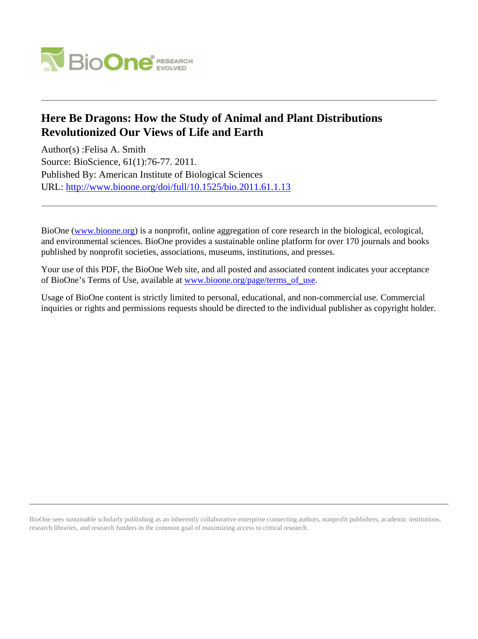

## **Here Be Dragons: How the Study of Animal and Plant Distributions Revolutionized Our Views of Life and Earth**

Author(s) :Felisa A. Smith Source: BioScience, 61(1):76-77. 2011. Published By: American Institute of Biological Sciences URL: <http://www.bioone.org/doi/full/10.1525/bio.2011.61.1.13>

BioOne [\(www.bioone.org\)](http://www.bioone.org) is a nonprofit, online aggregation of core research in the biological, ecological, and environmental sciences. BioOne provides a sustainable online platform for over 170 journals and books published by nonprofit societies, associations, museums, institutions, and presses.

Your use of this PDF, the BioOne Web site, and all posted and associated content indicates your acceptance of BioOne's Terms of Use, available at [www.bioone.org/page/terms\\_of\\_use.](http://www.bioone.org/page/terms_of_use)

Usage of BioOne content is strictly limited to personal, educational, and non-commercial use. Commercial inquiries or rights and permissions requests should be directed to the individual publisher as copyright holder.

BioOne sees sustainable scholarly publishing as an inherently collaborative enterprise connecting authors, nonprofit publishers, academic institutions, research libraries, and research funders in the common goal of maximizing access to critical research.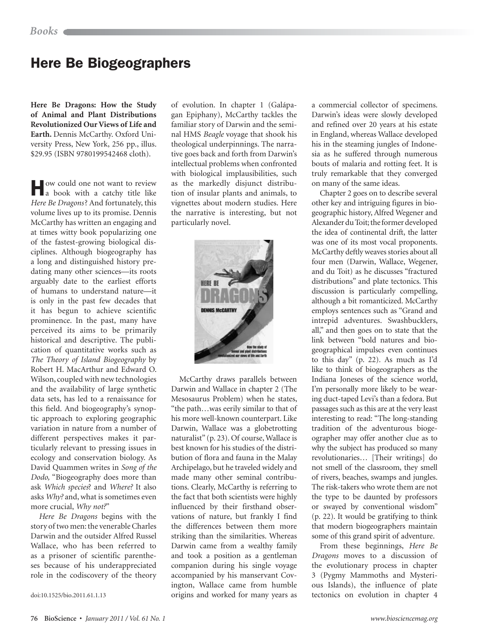## Here Be Biogeographers

**Here Be Dragons: How the Study of Animal and Plant Distributions Revolutionized Our Views of Life and Earth.** Dennis McCarthy. Oxford University Press, New York, 256 pp., illus. \$29.95 (ISBN 9780199542468 cloth).

How could one not want to review a book with a catchy title like *Here Be Dragons*? And fortunately, this volume lives up to its promise. Dennis McCarthy has written an engaging and at times witty book popularizing one of the fastest-growing biological disciplines. Although biogeography has a long and distinguished history predating many other sciences—its roots arguably date to the earliest efforts of humans to understand nature—it is only in the past few decades that it has begun to achieve scientific prominence. In the past, many have perceived its aims to be primarily historical and descriptive. The publication of quantitative works such as *The Theory of Island Biogeography* by Robert H. MacArthur and Edward O. Wilson, coupled with new technologies and the availability of large synthetic data sets, has led to a renaissance for this field. And biogeography's synoptic approach to exploring geographic variation in nature from a number of different perspectives makes it particularly relevant to pressing issues in ecology and conservation biology. As David Quammen writes in *Song of the Dodo,* "Biogeography does more than ask *Which species*? and *Where?* It also asks *Why?* and, what is sometimes even more crucial, *Why not?*"

*Here Be Dragons* begins with the story of two men: the venerable Charles Darwin and the outsider Alfred Russel Wallace, who has been referred to as a prisoner of scientific parentheses because of his underappreciated role in the codiscovery of the theory

doi:10.1525/bio.2011.61.1.13

of evolution. In chapter 1 (Galápagan Epiphany), McCarthy tackles the familiar story of Darwin and the seminal HMS *Beagle* voyage that shook his theological underpinnings. The narrative goes back and forth from Darwin's intellectual problems when confronted with biological implausibilities, such as the markedly disjunct distribution of insular plants and animals, to vignettes about modern studies. Here the narrative is interesting, but not particularly novel.



McCarthy draws parallels between Darwin and Wallace in chapter 2 (The Mesosaurus Problem) when he states, "the path…was eerily similar to that of his more well-known counterpart. Like Darwin, Wallace was a globetrotting naturalist" (p. 23). Of course, Wallace is best known for his studies of the distribution of flora and fauna in the Malay Archipelago, but he traveled widely and made many other seminal contributions. Clearly, McCarthy is referring to the fact that both scientists were highly influenced by their firsthand observations of nature, but frankly I find the differences between them more striking than the similarities. Whereas Darwin came from a wealthy family and took a position as a gentleman companion during his single voyage accompanied by his manservant Covington, Wallace came from humble origins and worked for many years as a commercial collector of specimens. Darwin's ideas were slowly developed and refined over 20 years at his estate in England, whereas Wallace developed his in the steaming jungles of Indonesia as he suffered through numerous bouts of malaria and rotting feet. It is truly remarkable that they converged on many of the same ideas.

Chapter 2 goes on to describe several other key and intriguing figures in biogeographic history, Alfred Wegener and Alexander du Toit; the former developed the idea of continental drift, the latter was one of its most vocal proponents. McCarthy deftly weaves stories about all four men (Darwin, Wallace, Wegener, and du Toit) as he discusses "fractured distributions" and plate tectonics. This discussion is particularly compelling, although a bit romanticized. McCarthy employs sentences such as "Grand and intrepid adventures. Swashbucklers, all," and then goes on to state that the link between "bold natures and biogeographical impulses even continues to this day" (p. 22)*.* As much as I'd like to think of biogeographers as the Indiana Joneses of the science world, I'm personally more likely to be wearing duct-taped Levi's than a fedora. But passages such as this are at the very least interesting to read: "The long-standing tradition of the adventurous biogeographer may offer another clue as to why the subject has produced so many revolutionaries… [Their writings] do not smell of the classroom, they smell of rivers, beaches, swamps and jungles. The risk-takers who wrote them are not the type to be daunted by professors or swayed by conventional wisdom" (p. 22). It would be gratifying to think that modern biogeographers maintain some of this grand spirit of adventure.

From these beginnings, *Here Be Dragons* moves to a discussion of the evolutionary process in chapter 3 (Pygmy Mammoths and Mysterious Islands), the influence of plate tectonics on evolution in chapter 4